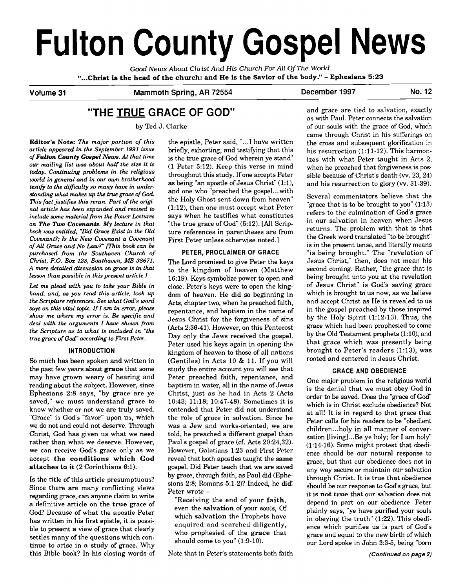# **Fulton County Gospel News**

*Good News About Christ And* **His** *Church For All* Of **The** *World*  "...Christ is the head of the church: and He is the Savior of the body." - Ephesians **5:23** 

## Volume 31 Mammoth Spring, AR 72554 December 1997 No. 12

# **"THE TRUE GRACE OF GOD"**

by Ted J. Clarke

Editor's Note: *The major portion of this article appeared in the September 1991 issue of Fulton County Goepel Newe. At that time our mailing list was about half the size it is today. Continuing problems in the religious world in general and in our own brotherhood testib to the diffzulty so many have* **in** *understanding what makes up the true grace of God.*  This fact justifies this rerun. Part of the origi*nal article has been expanded and revised to include some material from the Power Lectures on The* **Two** *Covenante. My lecture in that book was entitled. "Did Grace Exist* **in** *the Old Covenant?; Is the New Covenant a Covenant of All Gmce and No Law?"* **mis** *book can be purchased from the Southaven Church of Christ, P.O. Box 128, Southaven, MS 38671. A more detailed discussion on grace is in that lesson than possible in this present article.]* 

*Let me plead with you to take your Bible in hand, and, as you read this article, look up the Scripture references. See what God's word says on this vital topic. If I am in error, please show me where my error is. Be specific and deal with the arguments I have shown from the Scripture as to what is included in "the true grace of God" according to First Peter.* 

#### **INTRODUCTION**

**So** much has been spoken and written in the past few years about grace that some may have grown weary of hearing and reading about the subject. However, since Ephesians 2:8 says, "by grace are ye saved," we must understand grace to know whether or not we are truly saved. "Grace" is God's "favor" upon us, which we do not and could not deserve. Through Christ, God has given us what we need rather than what we deserve. However, we can receive God's grace only as we accept the conditions which God attaches to it (2 Corinthians 6:l).

Is the title of this article presumptuous? Since there are many conflicting views regarding grace, can anyone claim to write a definitive article on the true grace of God? Because of what the apostle Peter has written in his first epistle, it is possible to present a view of grace that clearly settles many of the questions which continue to arise in a study of grace. Why should come to you" (1:9-10).<br>
should come to you" (1:9-10).<br>
this Bible book? In his closing words of Note that in Peter's statements both faith

the epistle, Peter said, "...I have written briefly, exhorting, and testifying that this is the true grace of God wherein ye stand (1 Peter 5:12). Keep this verse in mind throughout this study. If one accepts Peter as being "an apostle of Jesus Christ" (1:1), and one who "preached the gospel...with the Holy Ghost sent down from heaven" (1:12), then one must accept what Peter says when he testifies what constitutes "the true grace of God" (5:12). [All Scripture references in parentheses are from First Peter unless otherwise noted.]

#### **PETER, PROCLAIMER OF GRACE**

The Lord promised to give Peter the keys to the kingdom of heaven (Matthew 16:19). Keys symbolize power to open and close. Peter's keys were to open the kingdom of heaven. He did so beginning in Acts, chapter two, when he preached faith, repentance, and baptism in the name of Jesus Christ for the forgiveness of sins (Acts 2:36-41). However, on this Pentecost Day only the Jews received the gospel. Peter used his keys again in opening the kingdom of heaven to those of all nations (Gentiles) in Acts 10 & 11. If you will study the entire account you will see that Peter preached faith, repentance, and baptism in water, all in the name of Jesus Christ, just as he had in Acts 2 (Acts 10:43; 11:18; 10:47-48). Sometimes it is contended that Peter did not understand the role of grace in salvation. Since he was a Jew and works-oriented, we are told, he preached a different gospel than Paul's gospel of grace (cf. Acts 20:24,32). However, Galatians 1:23 and First Peter reveal that both apostles taught the same gospel. Did Peter teach that we are saved by grace, through faith, as Paul did (Ephesians 2:8; Romans 5:l-2)? Indeed, he did! Peter wrote -

"Receiving the end of your faith, even the salvation of your souls, Of which salvation the Prophets have enquired and searched diligently, who prophesied of the grace that

and grace are tied to salvation, exactly as with Paul. Peter connects the salvation of our souls with the grace of God, which came through Christ in his sufferings on the cross and subsequent glorification in his resurrection (1:11-12). This harmonizes with what Peter taught in Acts 2, when he preached that forgiveness is possible because of Christ's death (w. 23,24) and his resurrection to glory (w. 31-39).

Several commentators believe that the "grace that is to be brought to you" (1:13) refers to the culmination of God's grace in our salvation in heaven when Jesus returns. The problem with that is that the Greek word translated "to be brought" is in the present tense, and literally means "is being brought." The "revelation of Jesus Christ," then, does not mean his second coming. Rather, "the grace that is being brought unto you at the revelation of Jesus Christ" is God's saving grace which is brought to us now, as we believe and accept Christ as He is revealed to us in the gospel preached by those inspired by the Holy Spirit (1:12-13). Thus, the grace which had been prophesied to come by the Old Testament prophets (1:10), and that grace which was presently being brought to Peter's readers (1:13), was rooted and centered in Jesus Christ.

#### **GRACE AND OBEDIENCE**

One major problem in the religious world is the denial that we must obey God in order to be saved. Does the "grace of God" which is in Christ exclude obedience? Not at all! It is in regard to that grace that Peter calls for his readers to be "obedient children ... holy in all manner of conversation [living]...Be ye holy; for I am holy" (1:14-16). Some might protest that obedience should be our natural response to grace, but that our obedience does not in any way secure or maintain our salvation through Christ. It is true that obedience should be our response to God's grace, but it is not true that our salvation does not depend in part on our obedience. Peter plainly says, "ye have purified your souls in obeying the truth" (1:22). This obedience which purifies us is part of God's grace and equal to the new birth of which our Lord spoke in John 3:3-5, being "born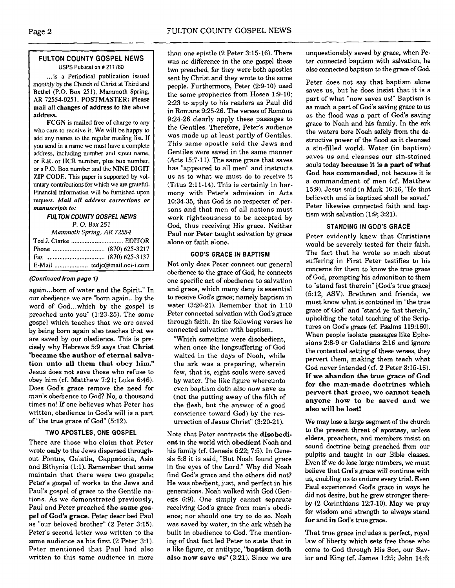#### **FULTON COUNTY GOSPEL NEWS USPS Publication** # **21 1780**

\*

... is a Periodical publication issued monthly by the Church of Christ at Third and Bethel (P.O. Box 251). Mammoth Spring. AR 72554-0251. POSTMASTER: Please mail all changes of address to the above address.

FCGN is mailed **free** of charge to any who care to receive it. We will be happy to add any names to the regular mailing list If you send in a name we must have a complete address, including number **and** street name, or R.R. or HCR number, plus box number, or a P.O. Box number and the NINE DIGIT **ZIP** CODE. This paper is supported by voluntary contributions for which we are grateful. Financial information will be **furnished** upon request. *Mail all* **address corrections or manuscripts to:** 

#### **FULTON COUNTY GOSPEL NEWS**  *P.* 0. **Box** *251*

*Mammoth* **Spring,** *AR 72554*  Ted **I.** Clarke ............................... EDITOR Phone ............................... (870) 625-3217 Fax ................................... (870) 625-3 137 E-Mail .................... tedjc@mail.oci-i.com

#### **(Continued from page** *I)*

again ... **born** of water and the Spirit." In our obedience we are "born again ... by the word of God...which by the gospel is preached unto you" (1:23-25). The same gospel which teaches that we are saved by being born again also teaches that we are saved by our obedience. This is precisely why Hebrews 5:9 says that **Christ "became the author of eternal salvation unto all them that obey him!'**  Jesus does not save those who refuse to obey him (cf. Matthew 7:21; Luke 6:46). Does God's grace remove the need for man's obedience to God? No, a thousand times no! If one believes what Peter has written, obedience to God's will is a part of "the true grace of God" (5:12).

#### **TWO APOSTLES, ONE GOSPEL**

There are those who claim that Peter wrote **only** to the Jews dispersed throughout Pontus, Galatia, Cappadocia, Asia and Bithynia (1:l). Remember that some maintain that there were two gospels; Peter's gospel of works to the Jews and Paul's gospel of grace to the Gentile nations. As we demonstrated previously, Paul and Peter preached **the same gospel of God's grace.** Peter described Paul as "our beloved brother" (2 Peter 3:15). Peter's second letter was written to the same audience as his first (2 Peter 3:l). Peter mentioned that Paul had also written to this same audience in more than one epistle (2 Peter 3:15-16). There was no difference in the one gospel these two preached, for they were both apostles sent by Christ and they wrote to the same people. Furthermore, Peter (2:9-10) used the same prophecies from Hosea 1:9-10; 2:23 to apply to his readers as Paul did in Romans 9:25-26. The verses of Romans 9:24-26 clearly apply these passages to the Gentiles. Therefore, Peter's audience was made up at least partly of Gentiles. This same apostle said the Jews and Gentiles were saved in the same manner (Acts 15;7-11). The same grace that saves has "appeared to all men" and instructs us as to what we must do to receive it (Titus 2:ll-14). This is certainly in harmony with Peter's admission in Acts 10:34-35, that God is no respecter of persons and that men of all nations must work righteousness to be accepted by God, thus receiving His grace. Neither Paul nor Peter taught salvation by grace alone or faith alone.

#### **GOD'S GRACE IN BAPTISM**

Not only does Peter connect our general obedience to the grace of God, he connects one specific act of obedience to salvation and grace, which many deny is essential to receive God's grace; namely baptism in water (3:20-21). Remember that in 1:10 Peter connected salvation with God's grace through faith. In the following verses he connected salvation with baptism.

"Which sometime were disobedient, when once the longsuffering of God waited in the days of Noah, while the ark was a preparing, wherein few, that is, eight souls were saved by water. The like figure whereunto even baptism doth also now save us (not the putting away of the filth of the flesh, but the answer of a good conscience toward God) by the resurrection of Jesus Christ" (3:20-21).

Note that Peter contrasts the **disobedient** in the world with **obedient** Noah and his family (cf. Genesis  $6:22$ ;  $7:5$ ). In Genesis 6:8 it is said, "But Noah found grace in the eyes of the Lord." Why did Noah find God's grace and the others did not? He was obedient, just, and perfect in his generations. Noah walked with God (Genesis 6:9). One simply cannot separate receiving God's grace from man's obedience; nor should one try to do so. Noah was saved by water, in the ark which he built in obedience to God. The mentioning of that fact led Peter to state that in a like figure, or antitype, **'baptism doth also now save us"** (3:21). Since we are unquestionably saved by grace, when Peter connected baptism with salvation, he also connected baptism to the **grace** of God.

Peter does not say that baptism alone saves us, but he does insist that it is a part of what "now saves us!" Baptism is as much a part of God's saving grace to us as the flood was a part of Gad's saving grace to Noah and his family. In the ark the waters bore **Noah** safely from the destructive power of the flood **as** it cleansed a sin-filled world. Water (in baptism) saves us and cleanses our sin-stained souls today **because it is a part of what God has commanded.** not because it is a commandment of men (cf. Matthew 159). Jesus said in Mark 16:16, "He that believeth and is baptized shall be saved." Peter likewise connected faith and baptism with salvation (1:9; 3:21).

#### **STANDING IN GOD'S GRACE**

Peter evidently knew that Christians would be severely tested for their faith. The fact that he wrote so much about suffering in First Peter testifies to his concerns for them to know the true grace of God, prompting his admonition to them to "stand fast therein" [Gad's true grace] (512, **ASV).** Brethren and friends, we must know what is contained in "the true grace of God" and "stand ye fast therein," upholding the total teaching of the Scriptures on God's grace (cf. Psalms 119:160). When people isolate passages like Ephesians  $2:8-9$  or Galatians  $2:16$  and ignore the contextual setting of these verses, they pervert them, making them teach what God never intended (cf. 2 Peter 3:15-16). If **we abandon the true grace of God for the man-made doctrines which pervert that grace, we cannot teach anyone how to be saved and we also will be lost!** 

We may lose a large segment of the church to the present threat of apostasy, unless elders, preachers, and members insist on sound doctrine being preached from our pulpits and taught in our Bible classes. Even if we do lose large numbers, we must believe that God's **grace** will continue with us, enabling us to endure every trial. Even Paul experienced God's grace in ways he did not desire, but he grew stronger thereby (2 Corinthians 12:7-10). May we pray for wisdom and strength to always stand **for** and **in** God's true grace.

That true grace includes a perfect, royal law of liberty which sets free those who come to God through His Son, our Savior and King (cf. James 1:25; John 14:6;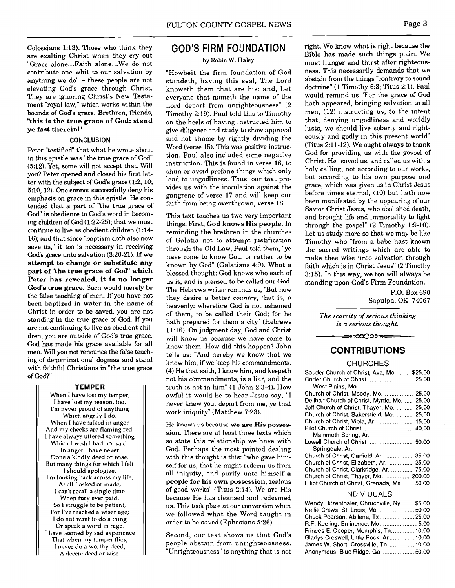Colossians 1:13). Those who think they are exalting Christ when they cry out "Grace alone... Faith alone... We do not contribute one whit to our salvation by anything we do" - these people are not elevating God's grace through Christ. They are ignoring Christ's New Testament "royal law," which works within the bounds of God's grace. Brethren, friends, **"this is the true grace of God: stand ye fast therein!"** 

#### **CONCLUSION**

Peter "testified" that what he wrote about in this epistle was "the true grace of God (512). Yet, some will not accept that. Will you? Peter opened and closed his first letter with the subject of God's grace (1:2, 10; 5:10,12). One cannot successfully deny his emphasis on grace in this epistle. He contended that a **part** of "the true grace of **God"** is obedience to God's word in becoming children of God (1:22-25); that we must continue to live as obedient children (1:14-16); and that since "baptism doth also now save us," it too is necessary in receiving **God's** gmce unto salvation (3:20-21). **If we attempt to change or substitute any part of "the true grace of God" which Peter has revealed, it is no longer God's true grace.** Such would merely be the false teaching of men. If you have not been baptized in water in the name of Christ in order to be saved, you are not standing in the true grace of God. If you are not continuing to live **as** obedient children, you are outside of God's true grace. **God has** made his grace available for all men. Will you not renounce the false teaching of denominational dogmas and stand with faithful Christians in "the true grace of God?"

#### **TEMPER**

When I have lost my temper, I have lost my reason, too. I'm never proud of anything Which angrily I do. When I have talked in anger And my cheeks are flaming red, I have always uttered something Which I wish 1 had not said. In anger 1 have never Done a kindly deed or wise, But many things for which 1 felt 1 should apologize. I'm looking back across my life, At all I asked or made, I can't recall a single time When fury ever paid. So I struggle to be patient, For I've reached a wiser age; 1 do not want to do a thing Or speak a word in rage. I have learned by sad experience That when my temper flies, I never do a worthy deed, A decent deed or wise.

## GOD'S FIRM FOUNDATION

#### by Robin W. Haley

"Howbeit the firm foundation of God standeth, having this seal, The Lord knoweth them that are his: and, Let everyone that nameth the name of the Lord depart from unrighteousness" (2 Timothy 2:19). Paul told this to Timothy on the heels of having instructed him to give diligence and study to show approval and not shame by rightly dividing the Word (verse 15). This was positive instruction. Paul also included some negative instruction. This is found in verse 16, to shun or avoid profane things which only lead to ungodliness. Thus, our text provides us with the inoculation against the gangrene of verse 17 and will keep our faith from being overthrown, verse 18!

This text teaches us two very important things. First, **God knows His people.** In reminding the brethren in the churches of Galatia not to attempt justification through the Old Law, Paul told them, "ye have come to know God, or rather to be known by God" (Galatians 4:9). What a blessed thought: God knows who each of us is, and is pleased to be called our God. The Hebrews writer reminds us, "But now they desire a better *country,* that is, a heavenly: wherefore God is not ashamed of them, to be called their God; for he hath prepared for them a city" (Hebrews 11:16). On judgment day, God and Christ will know us because we have come to know them. How did this happen? John tells us: "And hereby we know that we know him, if we keep his commandments. (4) He that saith, I know him, and keepeth not his commandments, is a liar, and the truth is not in him" (1 John 2:3-4). How awful it would be to hear Jesus say, "I never knew you: depart from me, ye that work iniquity" (Matthew 7:23).

He knows us because **we are His possession.** There are at least three texts which so state this relationship we have with God. Perhaps the most pointed dealing with this thought is this: "who gave himself for us, that he might redeem us from all iniquity, and purify unto himself **a people for his own possession,** zealous of good works" (Titus 2:14). We are His because He has cleansed and redeemed us. This took place at our conversion when we followed what the Word taught in order to be saved (Ephesians 5:26).

Second, our text shows us that God's people abstain from unrighteousness. "Unrighteousness" is anything that is not

right. We know what is right because the Bible has made such things plain. We must hunger and thirst after righteousness. This necessarily demands that we abstain from the things "contrary to sound doctrine" (1 Timothy 6:3; Titus 2:l). Paul would remind us "For the grace of God hath appeared, bringing salvation to all men, (12) instructing us, to the intent that, denying ungodliness and worldly lusts, we should live soberly and righteously and godly in this present world" (Titus 2:ll-12). We ought always to thank God for providing us with the gospel of Christ. He "saved us, and called us with a holy calling, not according to our works, but according to his own purpose and grace, which was given us in Christ Jesus before times eternal, (10) but hath now been manifested by the appearing of our Savior Christ Jesus, who abolished death, and brought life and immortality to light through the gospel" (2 Timothy 1:9-10). Let us study more so that we may be like Timothy who "from a babe hast known the sacred writings which are able to make thee wise unto salvation through faith which is in Christ Jesus" (2 Timothy 3:15). In this way, we too will always be standing upon God's Firm Foundation.

> P.O. Box 690 Sapulpa, OK 74067

*The scarcity of serious thinking is a serious thought.* 

# ∞∽೦೦೦೦≫ CONTRIBUTIONS

#### **CHURCHES**

| Souder Church of Christ, Ava, Mo.  \$25.00      |
|-------------------------------------------------|
|                                                 |
| West Plains, Mo.                                |
| Church of Christ, Moody, Mo.  25.00             |
| Dellhalf Church of Christ, Myrtle, Mo.<br>25.00 |
| Jeff Church of Christ, Thayer, Mo.<br>25.00     |
| Church of Christ, Bakersfield, Mo.<br>25.00     |
|                                                 |
|                                                 |
| Mammoth Spring, Ar.                             |
|                                                 |
| Springdale, Ar.                                 |
| Church of Christ, Garfield, Ar.  35.00          |
| Church of Christ, Elizabeth, Ar.  25.00         |
| Church of Christ, Clarkridge, Ar.  75.00        |
| Church of Christ, Thayer, Mo.  200.00           |
| Elliot Church of Christ, Grenada, Ms.  50.00    |

#### **INDIVIDUALS**

| Wendy Ritzenthaler, Chruchville, Ny.  \$5.00 |  |
|----------------------------------------------|--|
| Nellie Crews, St. Louis, Mo. 50.00           |  |
| Chuck Pearson, Abilene, Tx 25.00             |  |
| R.F. Keeling, Eminence, Mo 5.00              |  |
| Frinces E. Cooper, Memphis, Tn 10.00         |  |
| Gladys Creswell, Little Rock, Ar  10.00      |  |
| James W. Short, Crossville, Tn  10.00        |  |
| Anonymous, Blue Ridge, Ga  50.00             |  |